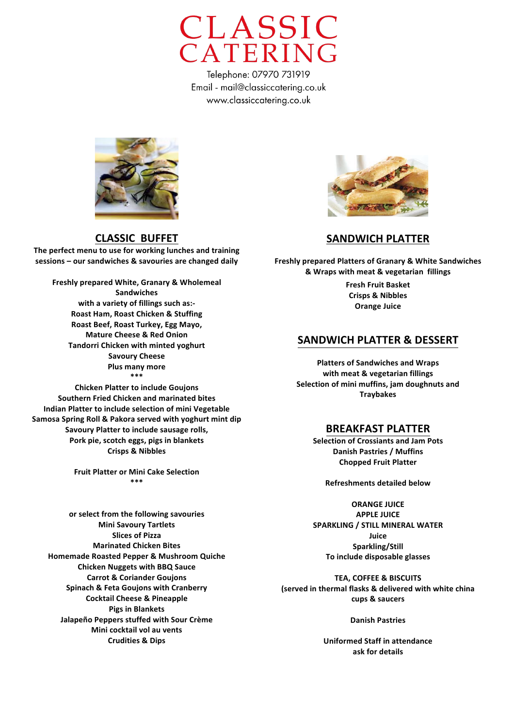



**CLASSIC BUFFET** 

The perfect menu to use for working lunches and training sessions – our sandwiches & savouries are changed daily

**Freshly prepared White, Granary & Wholemeal Sandwiches with a variety of fillings such as:-Roast Ham, Roast Chicken & Stuffing Roast&Beef,&Roast&Turkey,&Egg&Mayo, Mature Cheese & Red Onion Tandorri Chicken with minted yoghurt Savoury Cheese Plus many more \*\*\***

**Chicken Platter to include Goujons Southern&Fried&Chicken and&marinated&bites Indian Platter to include selection of mini Vegetable Samosa Spring Roll & Pakora served with yoghurt mint dip** Savoury Platter to include sausage rolls, Pork pie, scotch eggs, pigs in blankets **Crisps&&&Nibbles**

> **Fruit Platter or Mini Cake Selection \*\*\*&**

**or select from the following savouries Mini Savoury Tartlets Slices of Pizza Marinated Chicken Bites Homemade Roasted Pepper & Mushroom Quiche Chicken Nuggets with BBQ Sauce Carrot & Coriander Goujons Spinach & Feta Goujons with Cranberry Cocktail Cheese & Pineapple Pigs in Blankets Jalapeño Peppers stuffed with Sour Crème Mini cocktail vol au vents Crudities&&&Dips**



### **SANDWICH PLATTER**

**Freshly prepared Platters of Granary & White Sandwiches &&Wraps&with&meat&&&vegetarian&&fillings**

> **Fresh Fruit Basket Crisps&&&Nibbles Orange Juice**

#### **SANDWICH PLATTER & DESSERT**

**Platters of Sandwiches and Wraps** with meat & vegetarian fillings Selection of mini muffins, iam doughnuts and **Traybakes&**

#### **BREAKFAST PLATTER**

**Selection of Crossiants and Jam Pots Danish Pastries / Muffins Chopped Fruit Platter** 

**Refreshments detailed below** 

**ORANGE JUICE APPLE JUICE** SPARKLING / STILL MINERAL WATER **Juice Sparkling/Still& To include disposable glasses** 

**TEA, COFFEE & BISCUITS (served in thermal flasks & delivered with white china** cups & saucers

**Danish Pastries** 

**Uniformed Staff in attendance** ask for details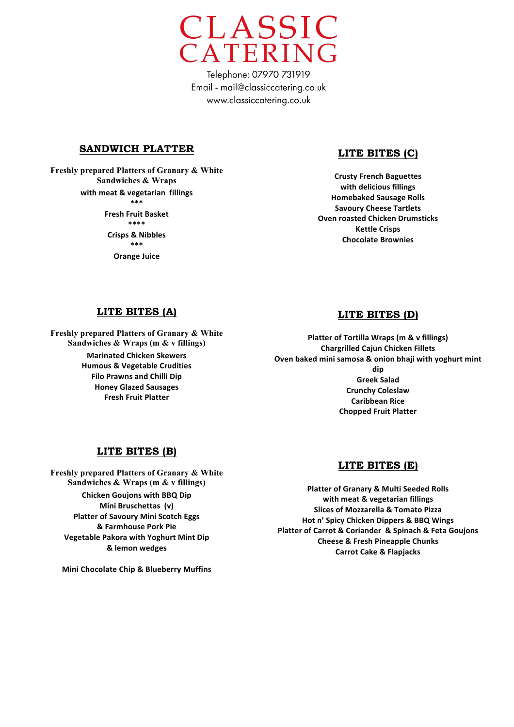

#### **SANDWICH PLATTER**

**Freshly prepared Platters of Granary & White Sandwiches & Wraps** with meat & vegetarian fillings **\*\*\* Fresh Fruit Basket \*\*\*\* Crisps&&&Nibbles \*\*\* Orange Juice** 

## **LITE BITES (C)**

**Crusty French Baguettes** with delicious fillings **Homebaked Sausage Rolls Savoury Cheese Tartlets Oven roasted Chicken Drumsticks Kettle Crisps Chocolate Brownies** 

#### **LITE BITES (A)**

**Freshly prepared Platters of Granary & White Sandwiches & Wraps (m & v fillings) Marinated Chicken Skewers Humous & Vegetable Crudities Filo Prawns and Chilli Dip Honey Glazed Sausages Fresh Fruit Platter** 

#### **LITE BITES (D)**

**Platter of Tortilla Wraps (m & v fillings) Chargrilled&Cajun&Chicken&Fillets Oven baked mini samosa & onion bhaji with yoghurt mint dip Greek&Salad Crunchy Coleslaw Caribbean Rice Chopped Fruit Platter** 

### **LITE BITES (B)**

**Freshly prepared Platters of Granary & White Sandwiches & Wraps (m & v fillings) Chicken Goujons with BBQ Dip Mini Bruschettas (v) Platter of Savoury Mini Scotch Eggs &&Farmhouse&Pork&Pie Vegetable Pakora with Yoghurt Mint Dip &&lemon&wedges**

**Mini Chocolate Chip & Blueberry Muffins** 

#### **LITE BITES (E)**

**Platter of Granary & Multi Seeded Rolls** with meat & vegetarian fillings **Slices of Mozzarella & Tomato Pizza Hot n' Spicy Chicken Dippers & BBQ Wings Platter of Carrot & Coriander & Spinach & Feta Goujons Cheese & Fresh Pineapple Chunks Carrot Cake & Flapjacks**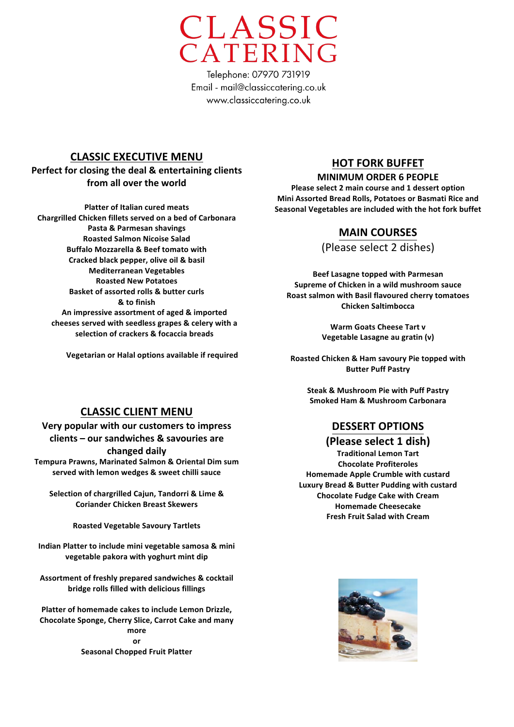

## **CLASSIC EXECUTIVE MENU**

## Perfect for closing the deal & entertaining clients from all over the world

**Platter of Italian cured meats Chargrilled&Chicken&fillets&served&on&a&bed&of&Carbonara&** Pasta & Parmesan shavings **Roasted Salmon Nicoise Salad Buffalo Mozzarella & Beef tomato with** Cracked black pepper, olive oil & basil **Mediterranean&Vegetables Roasted&New&Potatoes Basket of assorted rolls & butter curls &&to&finish** An impressive assortment of aged & imported cheeses served with seedless grapes & celery with a selection of crackers & focaccia breads

**Vegetarian or Halal options available if required** 

## **HOT FORK BUFFET**

#### **MINIMUM ORDER 6 PEOPLE**

Please select 2 main course and 1 dessert option **Mini Assorted Bread Rolls, Potatoes or Basmati Rice and** Seasonal Vegetables are included with the hot fork buffet

## **MAIN&COURSES**

(Please select 2 dishes)

**Beef Lasagne topped with Parmesan** Supreme of Chicken in a wild mushroom sauce **Roast&salmon&with&Basil&flavoured&cherry&tomatoes Chicken&Saltimbocca**

> **Warm Goats Cheese Tart v Vegetable Lasagne au gratin (v)**

**Roasted&Chicken&&&Ham&savoury&Pie&topped&with Butter Puff Pastry** 

**Steak & Mushroom Pie with Puff Pastry Smoked&Ham&&&Mushroom&Carbonara**

## **DESSERT&OPTIONS**

#### **(Please select 1 dish)**

**Traditional Lemon Tart Chocolate Profiteroles Homemade Apple Crumble with custard** Luxury Bread & Butter Pudding with custard **Chocolate Fudge Cake with Cream Homemade Cheesecake Fresh Fruit Salad with Cream** 

## **CLASSIC CLIENT MENU**

**Very popular with our customers to impress** clients - our sandwiches & savouries are changed daily

Tempura Prawns, Marinated Salmon & Oriental Dim sum served with lemon wedges & sweet chilli sauce

Selection of chargrilled Cajun, Tandorri & Lime & **Coriander&Chicken&Breast&Skewers**

**Roasted&Vegetable&Savoury&Tartlets**

Indian Platter to include mini vegetable samosa & mini vegetable pakora with yoghurt mint dip

Assortment of freshly prepared sandwiches & cocktail **bridge rolls filled with delicious fillings** 

Platter of homemade cakes to include Lemon Drizzle, **Chocolate Sponge, Cherry Slice, Carrot Cake and many more or Seasonal Chopped Fruit Platter** 

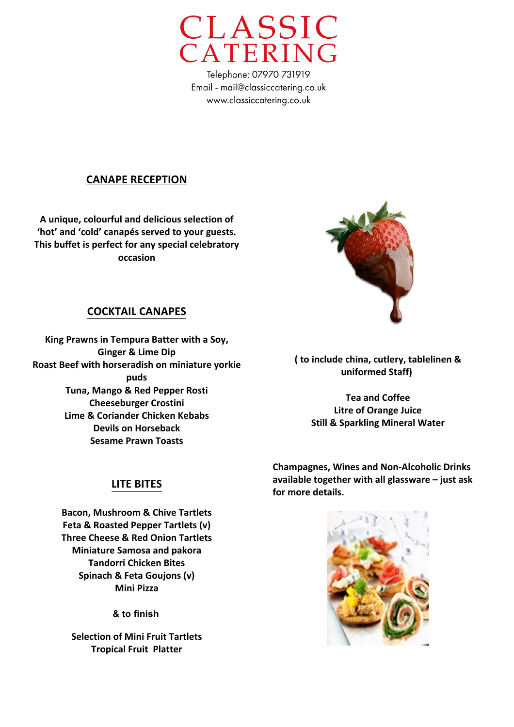

## **CANAPE RECEPTION**

A unique, colourful and delicious selection of 'hot' and 'cold' canapés served to your guests. This buffet is perfect for any special celebratory **occasion**

## **COCKTAIL&CANAPES**

King Prawns in Tempura Batter with a Soy, **Ginger & Lime Dip Roast Beef with horseradish on miniature yorkie puds Tuna, Mango & Red Pepper Rosti Cheeseburger Crostini Lime & Coriander Chicken Kebabs Devils on Horseback Sesame Prawn Toasts** 



**(&to&include&china,&cutlery,&tablelinen&&& uniformed&Staff)&**

**Tea and Coffee Litre of Orange Juice Still & Sparkling Mineral Water** 

**Champagnes, Wines and Non-Alcoholic Drinks** available together with all glassware - just ask for more details.



**Bacon, Mushroom & Chive Tartlets Feta & Roasted Pepper Tartlets (v) Three Cheese & Red Onion Tartlets Miniature Samosa and pakora Tandorri Chicken Bites** Spinach & Feta Goujons (v) **Mini&Pizza**

**& to finish**

**Selection of Mini Fruit Tartlets Tropical Fruit Platter** 

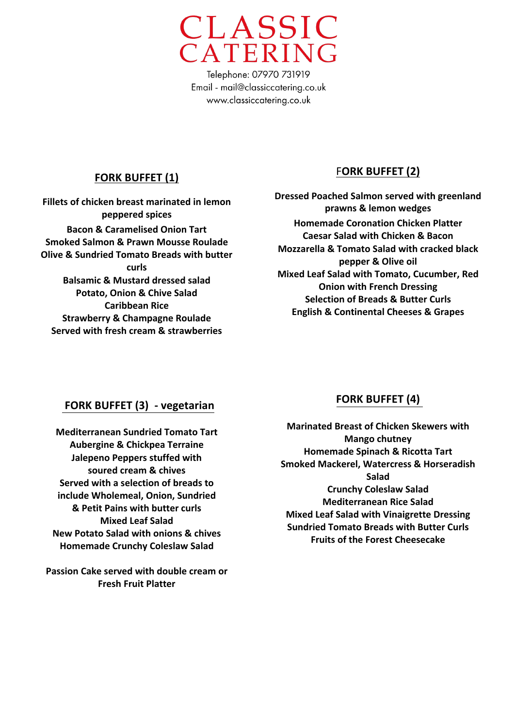

## **FORK BUFFET (1)**

**Fillets of chicken breast marinated in lemon peppered&spices Bacon&&&Caramelised&Onion&Tart Smoked Salmon & Prawn Mousse Roulade Olive & Sundried Tomato Breads with butter curls Balsamic & Mustard dressed salad Potato, Onion & Chive Salad Caribbean Rice Strawberry & Champagne Roulade Served with fresh cream & strawberries** 

# FORK BUFFET (2)

**Dressed Poached Salmon served with greenland prawns&&&lemon&wedges& Homemade Coronation Chicken Platter Caesar Salad with Chicken & Bacon Mozzarella & Tomato Salad with cracked black** pepper & Olive oil **Mixed Leaf Salad with Tomato, Cucumber, Red Onion with French Dressing Selection of Breads & Butter Curls English & Continental Cheeses & Grapes** 

# FORK BUFFET (3) - vegetarian

**Mediterranean Sundried Tomato Tart Aubergine & Chickpea Terraine Jalepeno Peppers stuffed with** soured cream & chives **Served with a selection of breads to include Wholemeal, Onion, Sundried & Petit Pains with butter curls Mixed Leaf Salad New Potato Salad with onions & chives Homemade Crunchy Coleslaw Salad** 

**Passion Cake served with double cream or Fresh Fruit Platter** 

# **FORK BUFFET (4)**

**Marinated Breast of Chicken Skewers with Mango chutney Homemade Spinach & Ricotta Tart Smoked&Mackerel,&Watercress&&&Horseradish& Salad Crunchy Coleslaw Salad Mediterranean Rice Salad Mixed Leaf Salad with Vinaigrette Dressing Sundried Tomato Breads with Butter Curls Fruits of the Forest Cheesecake**